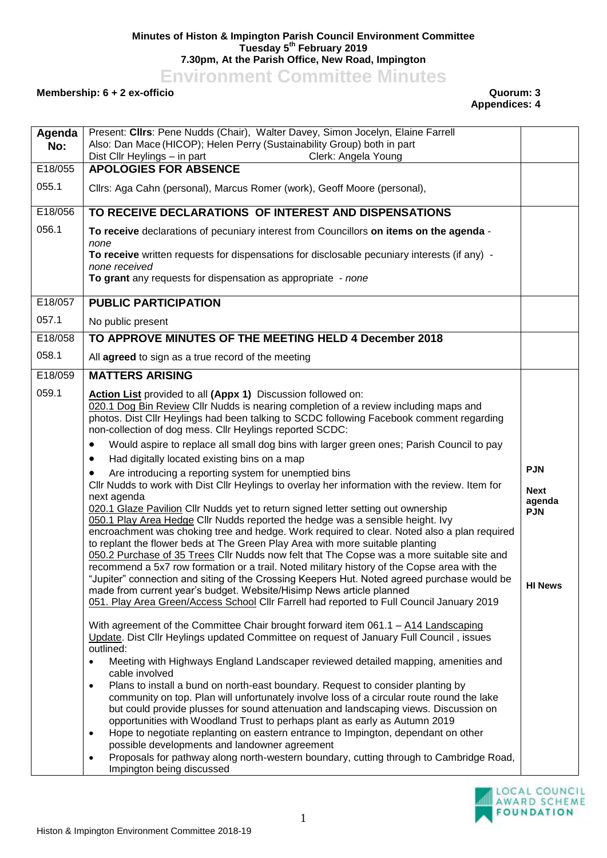## **Minutes of Histon & Impington Parish Council Environment Committee Tuesday 5 th February 2019 7.30pm, At the Parish Office, New Road, Impington**

**Environment Committee Minutes**

## **Membership: 6 + 2 ex-officio Quorum: 3**

**Appendices: 4**

| Agenda<br>No: | Present: Clirs: Pene Nudds (Chair), Walter Davey, Simon Jocelyn, Elaine Farrell<br>Also: Dan Mace (HICOP); Helen Perry (Sustainability Group) both in part<br>Dist Cllr Heylings - in part<br>Clerk: Angela Young                                                                                                                                                                                                                                                                                                                                                                                                                                                                                                                                                                                                                                                                                                                                                                                                                                                                                                                                                                                                                                                                                                                                                                                                                                                             |                                                                     |
|---------------|-------------------------------------------------------------------------------------------------------------------------------------------------------------------------------------------------------------------------------------------------------------------------------------------------------------------------------------------------------------------------------------------------------------------------------------------------------------------------------------------------------------------------------------------------------------------------------------------------------------------------------------------------------------------------------------------------------------------------------------------------------------------------------------------------------------------------------------------------------------------------------------------------------------------------------------------------------------------------------------------------------------------------------------------------------------------------------------------------------------------------------------------------------------------------------------------------------------------------------------------------------------------------------------------------------------------------------------------------------------------------------------------------------------------------------------------------------------------------------|---------------------------------------------------------------------|
| E18/055       | <b>APOLOGIES FOR ABSENCE</b>                                                                                                                                                                                                                                                                                                                                                                                                                                                                                                                                                                                                                                                                                                                                                                                                                                                                                                                                                                                                                                                                                                                                                                                                                                                                                                                                                                                                                                                  |                                                                     |
| 055.1         | Cllrs: Aga Cahn (personal), Marcus Romer (work), Geoff Moore (personal),                                                                                                                                                                                                                                                                                                                                                                                                                                                                                                                                                                                                                                                                                                                                                                                                                                                                                                                                                                                                                                                                                                                                                                                                                                                                                                                                                                                                      |                                                                     |
| E18/056       | TO RECEIVE DECLARATIONS OF INTEREST AND DISPENSATIONS                                                                                                                                                                                                                                                                                                                                                                                                                                                                                                                                                                                                                                                                                                                                                                                                                                                                                                                                                                                                                                                                                                                                                                                                                                                                                                                                                                                                                         |                                                                     |
| 056.1         | To receive declarations of pecuniary interest from Councillors on items on the agenda -<br>none                                                                                                                                                                                                                                                                                                                                                                                                                                                                                                                                                                                                                                                                                                                                                                                                                                                                                                                                                                                                                                                                                                                                                                                                                                                                                                                                                                               |                                                                     |
|               | To receive written requests for dispensations for disclosable pecuniary interests (if any) -<br>none received                                                                                                                                                                                                                                                                                                                                                                                                                                                                                                                                                                                                                                                                                                                                                                                                                                                                                                                                                                                                                                                                                                                                                                                                                                                                                                                                                                 |                                                                     |
|               | To grant any requests for dispensation as appropriate - none                                                                                                                                                                                                                                                                                                                                                                                                                                                                                                                                                                                                                                                                                                                                                                                                                                                                                                                                                                                                                                                                                                                                                                                                                                                                                                                                                                                                                  |                                                                     |
| E18/057       | <b>PUBLIC PARTICIPATION</b>                                                                                                                                                                                                                                                                                                                                                                                                                                                                                                                                                                                                                                                                                                                                                                                                                                                                                                                                                                                                                                                                                                                                                                                                                                                                                                                                                                                                                                                   |                                                                     |
| 057.1         | No public present                                                                                                                                                                                                                                                                                                                                                                                                                                                                                                                                                                                                                                                                                                                                                                                                                                                                                                                                                                                                                                                                                                                                                                                                                                                                                                                                                                                                                                                             |                                                                     |
| E18/058       | TO APPROVE MINUTES OF THE MEETING HELD 4 December 2018                                                                                                                                                                                                                                                                                                                                                                                                                                                                                                                                                                                                                                                                                                                                                                                                                                                                                                                                                                                                                                                                                                                                                                                                                                                                                                                                                                                                                        |                                                                     |
| 058.1         | All agreed to sign as a true record of the meeting                                                                                                                                                                                                                                                                                                                                                                                                                                                                                                                                                                                                                                                                                                                                                                                                                                                                                                                                                                                                                                                                                                                                                                                                                                                                                                                                                                                                                            |                                                                     |
| E18/059       | <b>MATTERS ARISING</b>                                                                                                                                                                                                                                                                                                                                                                                                                                                                                                                                                                                                                                                                                                                                                                                                                                                                                                                                                                                                                                                                                                                                                                                                                                                                                                                                                                                                                                                        |                                                                     |
| 059.1         | Action List provided to all (Appx 1) Discussion followed on:<br>020.1 Dog Bin Review Cllr Nudds is nearing completion of a review including maps and<br>photos. Dist Cllr Heylings had been talking to SCDC following Facebook comment regarding<br>non-collection of dog mess. Cllr Heylings reported SCDC:<br>Would aspire to replace all small dog bins with larger green ones; Parish Council to pay<br>$\bullet$<br>Had digitally located existing bins on a map<br>٠<br>Are introducing a reporting system for unemptied bins<br>Cllr Nudds to work with Dist Cllr Heylings to overlay her information with the review. Item for<br>next agenda<br>020.1 Glaze Pavilion Cllr Nudds yet to return signed letter setting out ownership<br>050.1 Play Area Hedge Cllr Nudds reported the hedge was a sensible height. Ivy<br>encroachment was choking tree and hedge. Work required to clear. Noted also a plan required<br>to replant the flower beds at The Green Play Area with more suitable planting<br>050.2 Purchase of 35 Trees Cllr Nudds now felt that The Copse was a more suitable site and<br>recommend a 5x7 row formation or a trail. Noted military history of the Copse area with the<br>"Jupiter" connection and siting of the Crossing Keepers Hut. Noted agreed purchase would be<br>made from current year's budget. Website/Hisimp News article planned<br>051. Play Area Green/Access School Cllr Farrell had reported to Full Council January 2019 | <b>PJN</b><br><b>Next</b><br>agenda<br><b>PJN</b><br><b>HI News</b> |
|               | With agreement of the Committee Chair brought forward item 061.1 - A14 Landscaping<br>Update. Dist Cllr Heylings updated Committee on request of January Full Council, issues<br>outlined:<br>Meeting with Highways England Landscaper reviewed detailed mapping, amenities and<br>$\bullet$<br>cable involved<br>Plans to install a bund on north-east boundary. Request to consider planting by<br>$\bullet$<br>community on top. Plan will unfortunately involve loss of a circular route round the lake<br>but could provide plusses for sound attenuation and landscaping views. Discussion on<br>opportunities with Woodland Trust to perhaps plant as early as Autumn 2019<br>Hope to negotiate replanting on eastern entrance to Impington, dependant on other<br>$\bullet$<br>possible developments and landowner agreement<br>Proposals for pathway along north-western boundary, cutting through to Cambridge Road,<br>$\bullet$<br>Impington being discussed                                                                                                                                                                                                                                                                                                                                                                                                                                                                                                      |                                                                     |

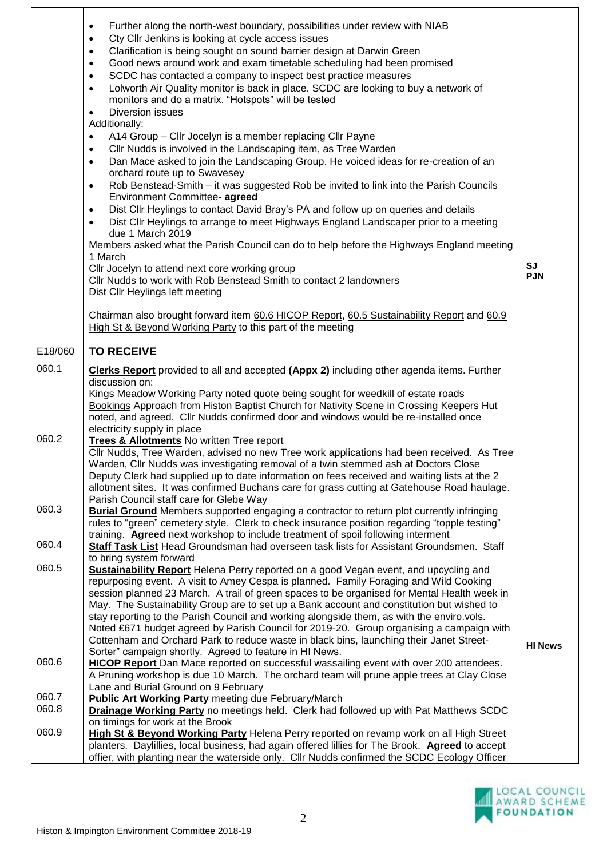|         | Further along the north-west boundary, possibilities under review with NIAB<br>$\bullet$<br>Cty Cllr Jenkins is looking at cycle access issues<br>$\bullet$<br>Clarification is being sought on sound barrier design at Darwin Green<br>$\bullet$<br>Good news around work and exam timetable scheduling had been promised<br>$\bullet$<br>SCDC has contacted a company to inspect best practice measures<br>$\bullet$<br>Lolworth Air Quality monitor is back in place. SCDC are looking to buy a network of<br>$\bullet$<br>monitors and do a matrix. "Hotspots" will be tested<br>Diversion issues<br>$\bullet$<br>Additionally:<br>A14 Group - Cllr Jocelyn is a member replacing Cllr Payne<br>$\bullet$<br>Cllr Nudds is involved in the Landscaping item, as Tree Warden<br>$\bullet$<br>Dan Mace asked to join the Landscaping Group. He voiced ideas for re-creation of an<br>$\bullet$<br>orchard route up to Swavesey<br>Rob Benstead-Smith - it was suggested Rob be invited to link into the Parish Councils<br>$\bullet$<br>Environment Committee- agreed<br>Dist Cllr Heylings to contact David Bray's PA and follow up on queries and details<br>$\bullet$<br>Dist Cllr Heylings to arrange to meet Highways England Landscaper prior to a meeting<br>$\bullet$<br>due 1 March 2019<br>Members asked what the Parish Council can do to help before the Highways England meeting<br>1 March<br>Cllr Jocelyn to attend next core working group<br>Cllr Nudds to work with Rob Benstead Smith to contact 2 landowners<br>Dist Cllr Heylings left meeting<br>Chairman also brought forward item 60.6 HICOP Report, 60.5 Sustainability Report and 60.9<br>High St & Beyond Working Party to this part of the meeting | SJ<br><b>PJN</b> |
|---------|----------------------------------------------------------------------------------------------------------------------------------------------------------------------------------------------------------------------------------------------------------------------------------------------------------------------------------------------------------------------------------------------------------------------------------------------------------------------------------------------------------------------------------------------------------------------------------------------------------------------------------------------------------------------------------------------------------------------------------------------------------------------------------------------------------------------------------------------------------------------------------------------------------------------------------------------------------------------------------------------------------------------------------------------------------------------------------------------------------------------------------------------------------------------------------------------------------------------------------------------------------------------------------------------------------------------------------------------------------------------------------------------------------------------------------------------------------------------------------------------------------------------------------------------------------------------------------------------------------------------------------------------------------------------------------------------------------------------------------|------------------|
| E18/060 | <b>TO RECEIVE</b>                                                                                                                                                                                                                                                                                                                                                                                                                                                                                                                                                                                                                                                                                                                                                                                                                                                                                                                                                                                                                                                                                                                                                                                                                                                                                                                                                                                                                                                                                                                                                                                                                                                                                                                |                  |
| 060.1   | <b>Clerks Report</b> provided to all and accepted (Appx 2) including other agenda items. Further<br>discussion on:<br>Kings Meadow Working Party noted quote being sought for weedkill of estate roads<br>Bookings Approach from Histon Baptist Church for Nativity Scene in Crossing Keepers Hut<br>noted, and agreed. Cllr Nudds confirmed door and windows would be re-installed once<br>electricity supply in place                                                                                                                                                                                                                                                                                                                                                                                                                                                                                                                                                                                                                                                                                                                                                                                                                                                                                                                                                                                                                                                                                                                                                                                                                                                                                                          |                  |
| 060.2   | <b>Trees &amp; Allotments No written Tree report</b><br>Cllr Nudds, Tree Warden, advised no new Tree work applications had been received. As Tree<br>Warden, Cllr Nudds was investigating removal of a twin stemmed ash at Doctors Close<br>Deputy Clerk had supplied up to date information on fees received and waiting lists at the 2<br>allotment sites. It was confirmed Buchans care for grass cutting at Gatehouse Road haulage.<br>Parish Council staff care for Glebe Way                                                                                                                                                                                                                                                                                                                                                                                                                                                                                                                                                                                                                                                                                                                                                                                                                                                                                                                                                                                                                                                                                                                                                                                                                                               |                  |
| 060.3   | <b>Burial Ground</b> Members supported engaging a contractor to return plot currently infringing<br>rules to "green" cemetery style. Clerk to check insurance position regarding "topple testing"<br>training. Agreed next workshop to include treatment of spoil following interment                                                                                                                                                                                                                                                                                                                                                                                                                                                                                                                                                                                                                                                                                                                                                                                                                                                                                                                                                                                                                                                                                                                                                                                                                                                                                                                                                                                                                                            |                  |
| 060.4   | Staff Task List Head Groundsman had overseen task lists for Assistant Groundsmen. Staff<br>to bring system forward                                                                                                                                                                                                                                                                                                                                                                                                                                                                                                                                                                                                                                                                                                                                                                                                                                                                                                                                                                                                                                                                                                                                                                                                                                                                                                                                                                                                                                                                                                                                                                                                               |                  |
| 060.5   | <b>Sustainability Report</b> Helena Perry reported on a good Vegan event, and upcycling and<br>repurposing event. A visit to Amey Cespa is planned. Family Foraging and Wild Cooking<br>session planned 23 March. A trail of green spaces to be organised for Mental Health week in<br>May. The Sustainability Group are to set up a Bank account and constitution but wished to<br>stay reporting to the Parish Council and working alongside them, as with the enviro.vols.<br>Noted £671 budget agreed by Parish Council for 2019-20. Group organising a campaign with<br>Cottenham and Orchard Park to reduce waste in black bins, launching their Janet Street-                                                                                                                                                                                                                                                                                                                                                                                                                                                                                                                                                                                                                                                                                                                                                                                                                                                                                                                                                                                                                                                             | <b>HI News</b>   |
| 060.6   | Sorter" campaign shortly. Agreed to feature in HI News.<br>HICOP Report Dan Mace reported on successful wassailing event with over 200 attendees.<br>A Pruning workshop is due 10 March. The orchard team will prune apple trees at Clay Close<br>Lane and Burial Ground on 9 February                                                                                                                                                                                                                                                                                                                                                                                                                                                                                                                                                                                                                                                                                                                                                                                                                                                                                                                                                                                                                                                                                                                                                                                                                                                                                                                                                                                                                                           |                  |
| 060.7   | <b>Public Art Working Party meeting due February/March</b>                                                                                                                                                                                                                                                                                                                                                                                                                                                                                                                                                                                                                                                                                                                                                                                                                                                                                                                                                                                                                                                                                                                                                                                                                                                                                                                                                                                                                                                                                                                                                                                                                                                                       |                  |
| 060.8   | Drainage Working Party no meetings held. Clerk had followed up with Pat Matthews SCDC                                                                                                                                                                                                                                                                                                                                                                                                                                                                                                                                                                                                                                                                                                                                                                                                                                                                                                                                                                                                                                                                                                                                                                                                                                                                                                                                                                                                                                                                                                                                                                                                                                            |                  |
| 060.9   | on timings for work at the Brook<br><b>High St &amp; Beyond Working Party Helena Perry reported on revamp work on all High Street</b><br>planters. Daylillies, local business, had again offered lillies for The Brook. Agreed to accept<br>offier, with planting near the waterside only. Cllr Nudds confirmed the SCDC Ecology Officer                                                                                                                                                                                                                                                                                                                                                                                                                                                                                                                                                                                                                                                                                                                                                                                                                                                                                                                                                                                                                                                                                                                                                                                                                                                                                                                                                                                         |                  |

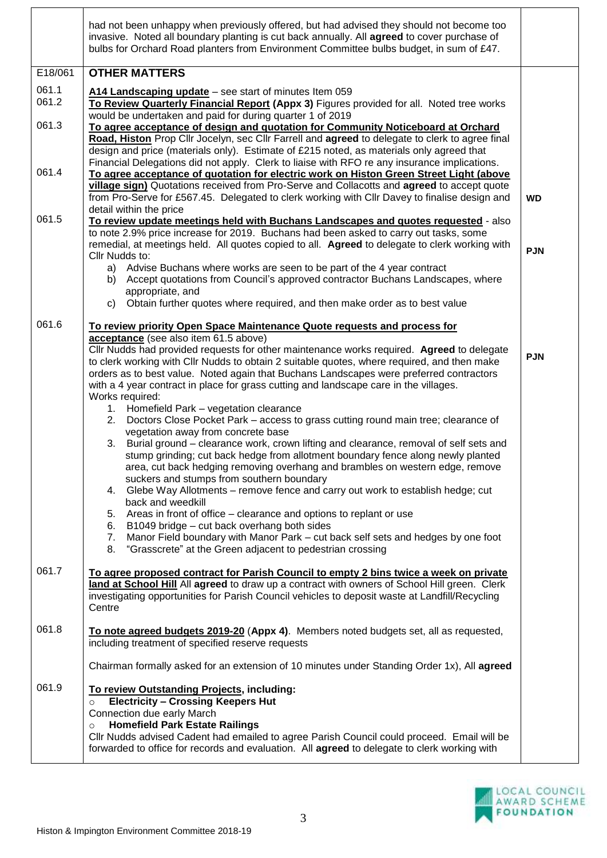|                | had not been unhappy when previously offered, but had advised they should not become too<br>invasive. Noted all boundary planting is cut back annually. All agreed to cover purchase of<br>bulbs for Orchard Road planters from Environment Committee bulbs budget, in sum of £47.                                                                                                                                                                                                   |            |
|----------------|--------------------------------------------------------------------------------------------------------------------------------------------------------------------------------------------------------------------------------------------------------------------------------------------------------------------------------------------------------------------------------------------------------------------------------------------------------------------------------------|------------|
| E18/061        | <b>OTHER MATTERS</b>                                                                                                                                                                                                                                                                                                                                                                                                                                                                 |            |
| 061.1<br>061.2 | A14 Landscaping update - see start of minutes Item 059<br>To Review Quarterly Financial Report (Appx 3) Figures provided for all. Noted tree works<br>would be undertaken and paid for during quarter 1 of 2019                                                                                                                                                                                                                                                                      |            |
| 061.3          | To agree acceptance of design and quotation for Community Noticeboard at Orchard<br>Road, Histon Prop Cllr Jocelyn, sec Cllr Farrell and agreed to delegate to clerk to agree final<br>design and price (materials only). Estimate of £215 noted, as materials only agreed that<br>Financial Delegations did not apply. Clerk to liaise with RFO re any insurance implications.                                                                                                      |            |
| 061.4          | To agree acceptance of quotation for electric work on Histon Green Street Light (above<br>village sign) Quotations received from Pro-Serve and Collacotts and agreed to accept quote<br>from Pro-Serve for £567.45. Delegated to clerk working with Cllr Davey to finalise design and<br>detail within the price                                                                                                                                                                     | WD         |
| 061.5          | To review update meetings held with Buchans Landscapes and quotes requested - also<br>to note 2.9% price increase for 2019. Buchans had been asked to carry out tasks, some<br>remedial, at meetings held. All quotes copied to all. Agreed to delegate to clerk working with                                                                                                                                                                                                        | <b>PJN</b> |
|                | Cllr Nudds to:<br>a) Advise Buchans where works are seen to be part of the 4 year contract<br>Accept quotations from Council's approved contractor Buchans Landscapes, where<br>b)<br>appropriate, and                                                                                                                                                                                                                                                                               |            |
|                | Obtain further quotes where required, and then make order as to best value<br>C)                                                                                                                                                                                                                                                                                                                                                                                                     |            |
| 061.6          | To review priority Open Space Maintenance Quote requests and process for                                                                                                                                                                                                                                                                                                                                                                                                             |            |
|                | acceptance (see also item 61.5 above)<br>Cllr Nudds had provided requests for other maintenance works required. Agreed to delegate<br>to clerk working with Cllr Nudds to obtain 2 suitable quotes, where required, and then make<br>orders as to best value. Noted again that Buchans Landscapes were preferred contractors<br>with a 4 year contract in place for grass cutting and landscape care in the villages.<br>Works required:<br>1. Homefield Park - vegetation clearance | <b>PJN</b> |
|                | 2. Doctors Close Pocket Park – access to grass cutting round main tree; clearance of<br>vegetation away from concrete base<br>3. Burial ground – clearance work, crown lifting and clearance, removal of self sets and                                                                                                                                                                                                                                                               |            |
|                | stump grinding; cut back hedge from allotment boundary fence along newly planted<br>area, cut back hedging removing overhang and brambles on western edge, remove<br>suckers and stumps from southern boundary<br>4. Glebe Way Allotments – remove fence and carry out work to establish hedge; cut                                                                                                                                                                                  |            |
|                | back and weedkill<br>5. Areas in front of office – clearance and options to replant or use                                                                                                                                                                                                                                                                                                                                                                                           |            |
|                | 6. B1049 bridge - cut back overhang both sides<br>7. Manor Field boundary with Manor Park - cut back self sets and hedges by one foot<br>8. "Grasscrete" at the Green adjacent to pedestrian crossing                                                                                                                                                                                                                                                                                |            |
| 061.7          | To agree proposed contract for Parish Council to empty 2 bins twice a week on private<br>land at School Hill All agreed to draw up a contract with owners of School Hill green. Clerk<br>investigating opportunities for Parish Council vehicles to deposit waste at Landfill/Recycling<br>Centre                                                                                                                                                                                    |            |
| 061.8          | To note agreed budgets 2019-20 (Appx 4). Members noted budgets set, all as requested,<br>including treatment of specified reserve requests                                                                                                                                                                                                                                                                                                                                           |            |
|                | Chairman formally asked for an extension of 10 minutes under Standing Order 1x), All agreed                                                                                                                                                                                                                                                                                                                                                                                          |            |
| 061.9          | To review Outstanding Projects, including:<br><b>Electricity - Crossing Keepers Hut</b><br>$\circ$<br>Connection due early March<br><b>Homefield Park Estate Railings</b><br>$\circ$                                                                                                                                                                                                                                                                                                 |            |
|                | Cllr Nudds advised Cadent had emailed to agree Parish Council could proceed. Email will be<br>forwarded to office for records and evaluation. All agreed to delegate to clerk working with                                                                                                                                                                                                                                                                                           |            |